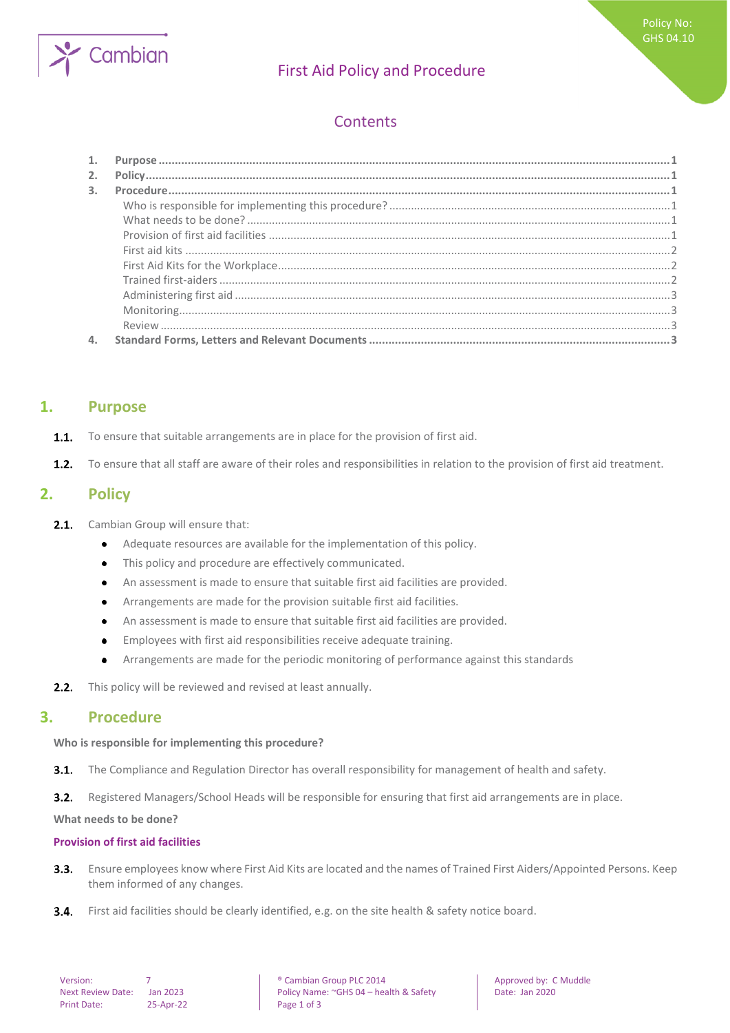

# First Aid Policy and Procedure

# **Contents**

| 2.             |  |
|----------------|--|
| $\mathbf{3}$ . |  |
|                |  |
|                |  |
|                |  |
|                |  |
|                |  |
|                |  |
|                |  |
|                |  |
|                |  |
|                |  |

## <span id="page-0-0"></span>**1. Purpose**

- To ensure that suitable arrangements are in place for the provision of first aid.  $1.1.$
- <span id="page-0-1"></span> $1.2.$ To ensure that all staff are aware of their roles and responsibilities in relation to the provision of first aid treatment.

## **2. Policy**

- $2.1.$ Cambian Group will ensure that:
	- Adequate resources are available for the implementation of this policy.  $\bullet$
	- This policy and procedure are effectively communicated.  $\bullet$
	- An assessment is made to ensure that suitable first aid facilities are provided.  $\bullet$
	- Arrangements are made for the provision suitable first aid facilities.  $\bullet$
	- An assessment is made to ensure that suitable first aid facilities are provided.  $\bullet$
	- Employees with first aid responsibilities receive adequate training.  $\bullet$
	- Arrangements are made for the periodic monitoring of performance against this standards  $\bullet$
- <span id="page-0-2"></span>This policy will be reviewed and revised at least annually.  $2.2.$

## **3. Procedure**

#### <span id="page-0-3"></span>**Who is responsible for implementing this procedure?**

 $3.1.$ The Compliance and Regulation Director has overall responsibility for management of health and safety.

 $3.2.$ Registered Managers/School Heads will be responsible for ensuring that first aid arrangements are in place.

<span id="page-0-4"></span>**What needs to be done?**

#### <span id="page-0-5"></span>**Provision of first aid facilities**

- Ensure employees know where First Aid Kits are located and the names of Trained First Aiders/Appointed Persons. Keep  $3.3.$ them informed of any changes.
- $3.4.$ First aid facilities should be clearly identified, e.g. on the site health & safety notice board.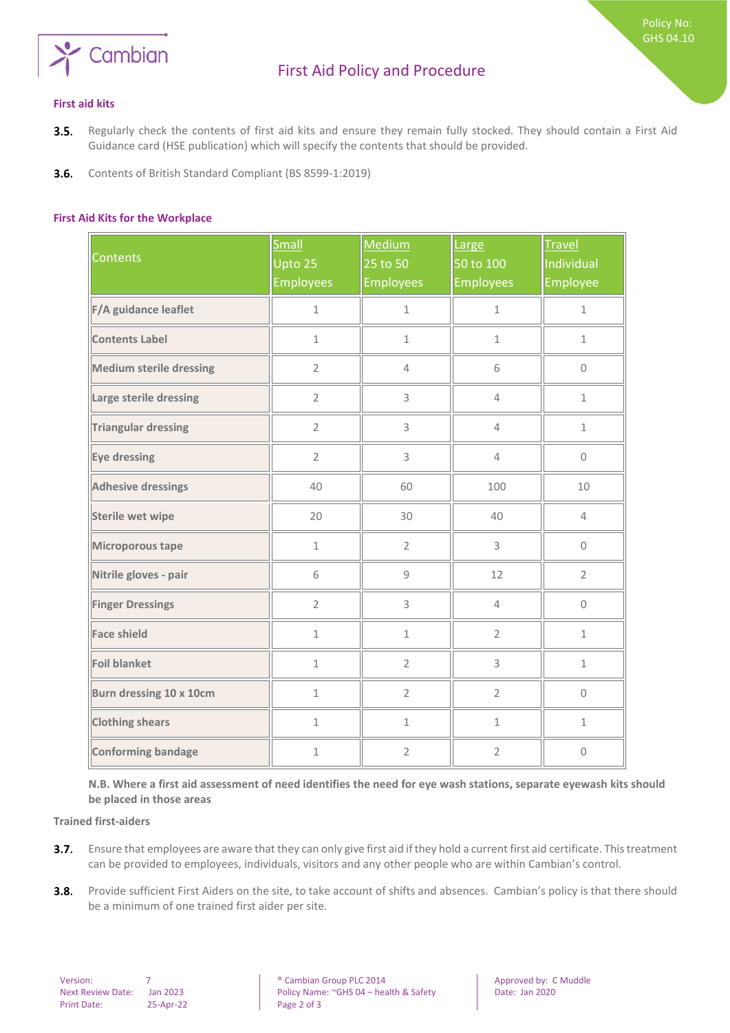

Policy No: GHS 04.10

- <span id="page-1-0"></span>Regularly check the contents of first aid kits and ensure they remain fully stocked. They should contain a First Aid  $3.5.$ Guidance card (HSE publication) which will specify the contents that should be provided.
- <span id="page-1-1"></span> $3.6.$ Contents of British Standard Compliant (BS 8599-1:2019)

#### **First Aid Kits for the Workplace**

| <b>Contents</b>                | <b>Small</b><br>Upto 25<br><b>Employees</b> | Medium<br>25 to 50<br><b>Employees</b> | Large<br>50 to 100<br><b>Employees</b> | <b>Travel</b><br>Individual<br>Employee |
|--------------------------------|---------------------------------------------|----------------------------------------|----------------------------------------|-----------------------------------------|
| F/A guidance leaflet           | $\mathbf 1$                                 | $\mathbf 1$                            | $\mathbf{1}$                           | $\mathbf{1}$                            |
| <b>Contents Label</b>          | $\mathbf{1}$                                | $\mathbf{1}$                           | $\mathbf 1$                            | $\mathbf{1}$                            |
| <b>Medium sterile dressing</b> | $\overline{2}$                              | $\overline{4}$                         | 6                                      | $\Omega$                                |
| Large sterile dressing         | $\overline{2}$                              | 3                                      | $\overline{4}$                         | $\mathbf{1}$                            |
| <b>Triangular dressing</b>     | $\overline{2}$                              | 3                                      | $\overline{4}$                         | $\mathbf 1$                             |
| Eye dressing                   | $\overline{2}$                              | 3                                      | $\overline{4}$                         | $\mathsf{O}\xspace$                     |
| <b>Adhesive dressings</b>      | 40                                          | 60                                     | 100                                    | 10                                      |
| <b>Sterile wet wipe</b>        | 20                                          | 30                                     | 40                                     | $\overline{4}$                          |
| Microporous tape               | $\mathbf{1}$                                | $\overline{2}$                         | 3                                      | 0                                       |
| Nitrile gloves - pair          | 6                                           | 9                                      | 12                                     | $\overline{2}$                          |
| <b>Finger Dressings</b>        | $\overline{2}$                              | 3                                      | $\overline{4}$                         | $\mathbf 0$                             |
| <b>Face shield</b>             | $\mathbf{1}$                                | $\mathbf 1$                            | $\overline{2}$                         | $\mathbf{1}$                            |
| <b>Foil blanket</b>            | $\mathbf 1$                                 | $\overline{2}$                         | 3                                      | $\mathbf 1$                             |
| Burn dressing 10 x 10cm        | $\mathbf 1$                                 | $\overline{2}$                         | $\overline{2}$                         | $\mathsf{O}\xspace$                     |
| <b>Clothing shears</b>         | $\mathbf{1}$                                | $\mathbf{1}$                           | $\mathbf{1}$                           | $\mathbf{1}$                            |
| <b>Conforming bandage</b>      | $\mathbf 1$                                 | $\overline{2}$                         | $\overline{2}$                         | $\mathbf 0$                             |

<span id="page-1-2"></span>**N.B. Where a first aid assessment of need identifies the need for eye wash stations, separate eyewash kits should be placed in those areas** 

**Trained first-aiders**

- Ensure that employees are aware that they can only give first aid if they hold a current first aid certificate. This treatment  $3.7.$ can be provided to employees, individuals, visitors and any other people who are within Cambian's control.
- $3.8.$ Provide sufficient First Aiders on the site, to take account of shifts and absences. Cambian's policy is that there should be a minimum of one trained first aider per site.